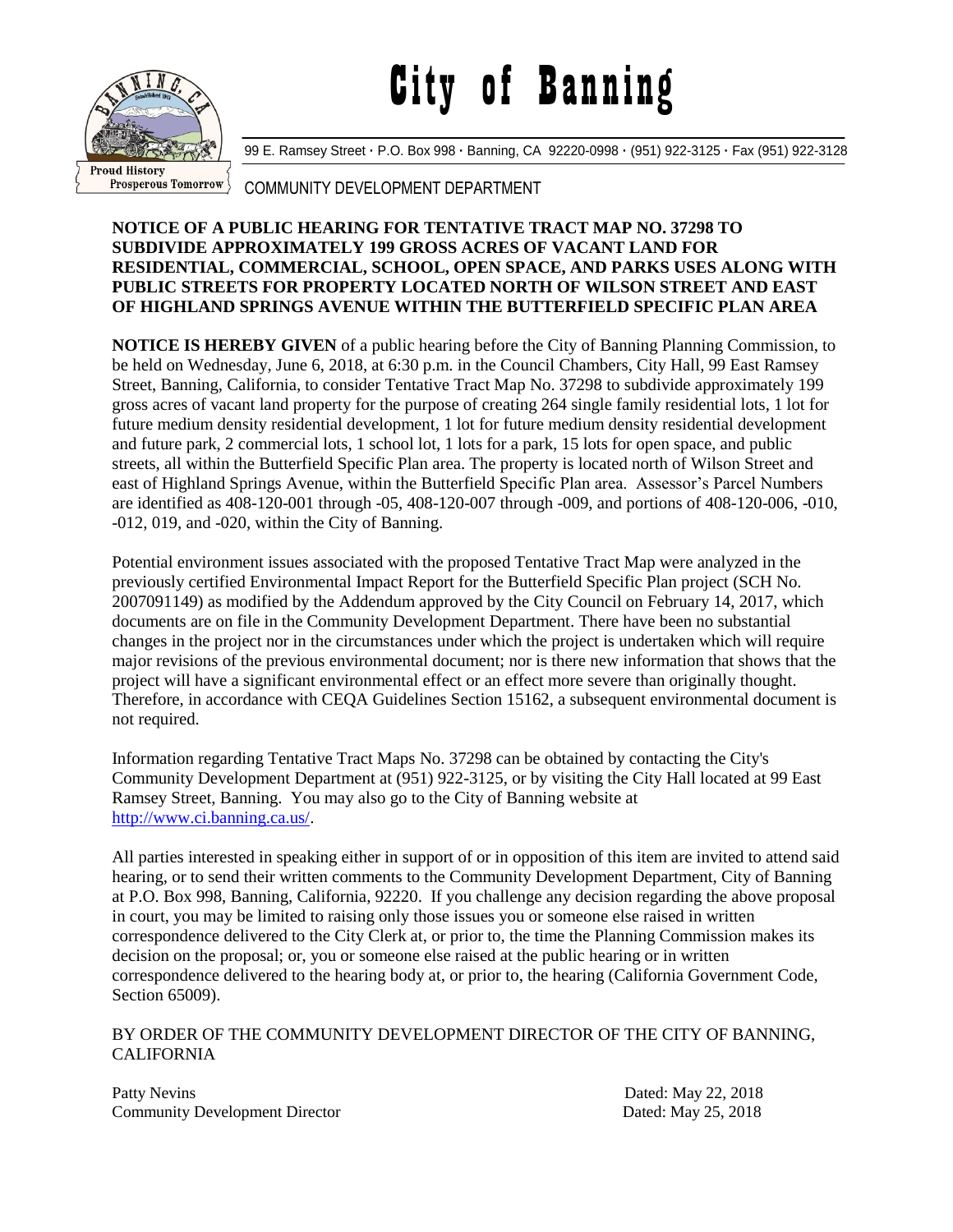## City of Banning



99 E. Ramsey Street **·** P.O. Box 998 **·** Banning, CA 92220-0998 **·** (951) 922-3125 **·** Fax (951) 922-3128

## COMMUNITY DEVELOPMENT DEPARTMENT

## **NOTICE OF A PUBLIC HEARING FOR TENTATIVE TRACT MAP NO. 37298 TO SUBDIVIDE APPROXIMATELY 199 GROSS ACRES OF VACANT LAND FOR RESIDENTIAL, COMMERCIAL, SCHOOL, OPEN SPACE, AND PARKS USES ALONG WITH PUBLIC STREETS FOR PROPERTY LOCATED NORTH OF WILSON STREET AND EAST OF HIGHLAND SPRINGS AVENUE WITHIN THE BUTTERFIELD SPECIFIC PLAN AREA**

**NOTICE IS HEREBY GIVEN** of a public hearing before the City of Banning Planning Commission, to be held on Wednesday, June 6, 2018, at 6:30 p.m. in the Council Chambers, City Hall, 99 East Ramsey Street, Banning, California, to consider Tentative Tract Map No. 37298 to subdivide approximately 199 gross acres of vacant land property for the purpose of creating 264 single family residential lots, 1 lot for future medium density residential development, 1 lot for future medium density residential development and future park, 2 commercial lots, 1 school lot, 1 lots for a park, 15 lots for open space, and public streets, all within the Butterfield Specific Plan area. The property is located north of Wilson Street and east of Highland Springs Avenue, within the Butterfield Specific Plan area. Assessor's Parcel Numbers are identified as 408-120-001 through -05, 408-120-007 through -009, and portions of 408-120-006, -010, -012, 019, and -020, within the City of Banning.

Potential environment issues associated with the proposed Tentative Tract Map were analyzed in the previously certified Environmental Impact Report for the Butterfield Specific Plan project (SCH No. 2007091149) as modified by the Addendum approved by the City Council on February 14, 2017, which documents are on file in the Community Development Department. There have been no substantial changes in the project nor in the circumstances under which the project is undertaken which will require major revisions of the previous environmental document; nor is there new information that shows that the project will have a significant environmental effect or an effect more severe than originally thought. Therefore, in accordance with CEQA Guidelines Section 15162, a subsequent environmental document is not required.

Information regarding Tentative Tract Maps No. 37298 can be obtained by contacting the City's Community Development Department at (951) 922-3125, or by visiting the City Hall located at 99 East Ramsey Street, Banning. You may also go to the City of Banning website at [http://www.ci.banning.ca.us/.](http://www.ci.banning.ca.us/)

All parties interested in speaking either in support of or in opposition of this item are invited to attend said hearing, or to send their written comments to the Community Development Department, City of Banning at P.O. Box 998, Banning, California, 92220. If you challenge any decision regarding the above proposal in court, you may be limited to raising only those issues you or someone else raised in written correspondence delivered to the City Clerk at, or prior to, the time the Planning Commission makes its decision on the proposal; or, you or someone else raised at the public hearing or in written correspondence delivered to the hearing body at, or prior to, the hearing (California Government Code, Section 65009).

## BY ORDER OF THE COMMUNITY DEVELOPMENT DIRECTOR OF THE CITY OF BANNING, CALIFORNIA

Patty Nevins Dated: May 22, 2018 Community Development Director Dated: May 25, 2018